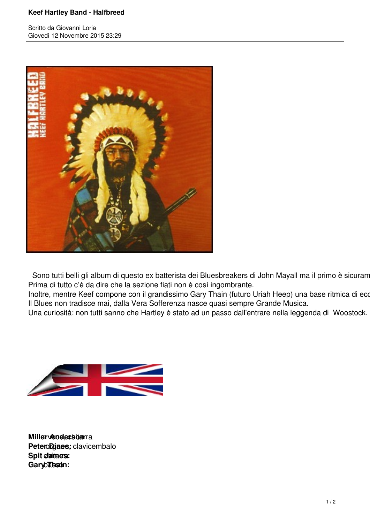## **Keef Hartley Band - Halfbreed**

Scritto da Giovanni Loria Giovedì 12 Novembre 2015 23:29



Sono tutti belli gli album di questo ex batterista dei Bluesbreakers di John Mayall ma il primo è sicuram Prima di tutto c'è da dire che la sezione fiati non è così ingombrante.

Inoltre, mentre Keef compone con il grandissimo Gary Thain (futuro Uriah Heep) una base ritmica di eco Il Blues non tradisce mai, dalla Vera Sofferenza nasce quasi sempre Grande Musica.

Una curiosità: non tutti sanno che Hartley è stato ad un passo dall'entrare nella leggenda di Woostock.



**Miller Anderson**ra Petero**Djaes**; clavicembalo **Spit daines:** Garyb**Thain:**